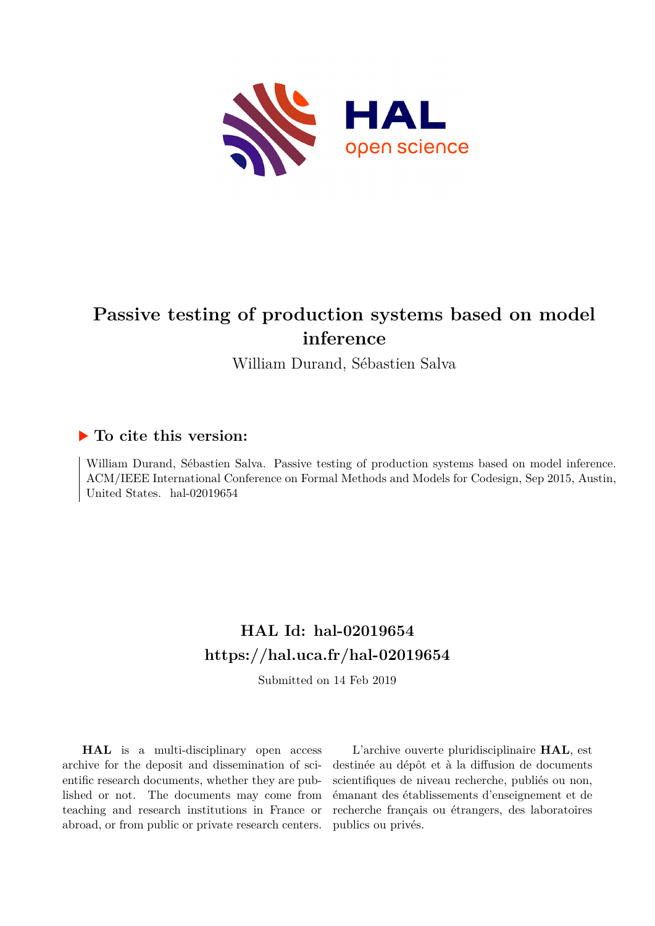

# **Passive testing of production systems based on model inference**

William Durand, Sébastien Salva

## **To cite this version:**

William Durand, Sébastien Salva. Passive testing of production systems based on model inference. ACM/IEEE International Conference on Formal Methods and Models for Codesign, Sep 2015, Austin, United States. hal-02019654

## **HAL Id: hal-02019654 <https://hal.uca.fr/hal-02019654>**

Submitted on 14 Feb 2019

**HAL** is a multi-disciplinary open access archive for the deposit and dissemination of scientific research documents, whether they are published or not. The documents may come from teaching and research institutions in France or abroad, or from public or private research centers.

L'archive ouverte pluridisciplinaire **HAL**, est destinée au dépôt et à la diffusion de documents scientifiques de niveau recherche, publiés ou non, émanant des établissements d'enseignement et de recherche français ou étrangers, des laboratoires publics ou privés.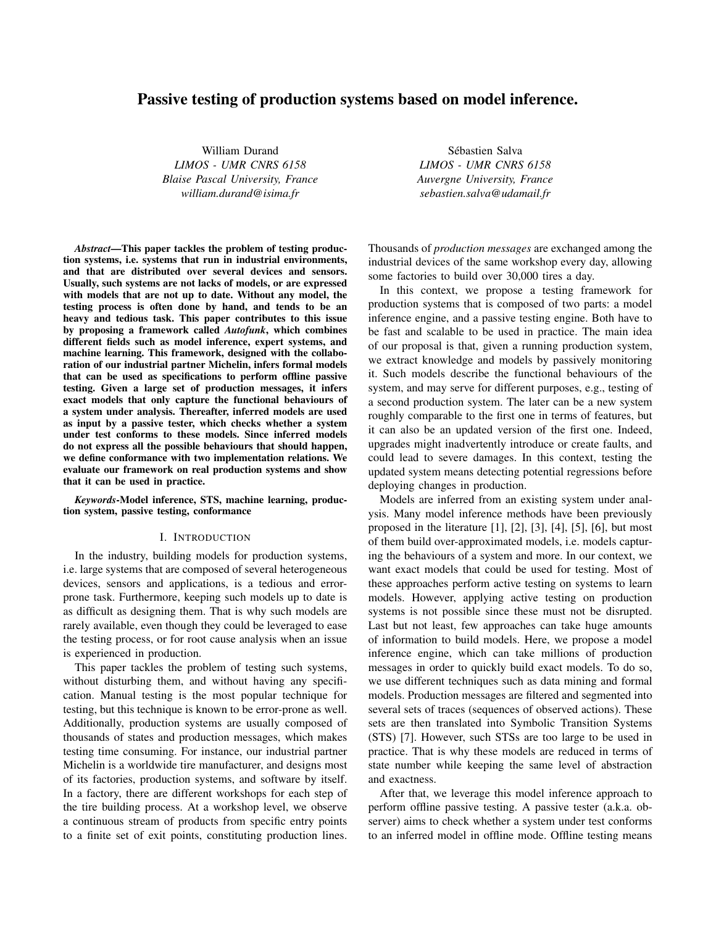### Passive testing of production systems based on model inference.

William Durand *LIMOS - UMR CNRS 6158 Blaise Pascal University, France william.durand@isima.fr*

*Abstract*—This paper tackles the problem of testing production systems, i.e. systems that run in industrial environments, and that are distributed over several devices and sensors. Usually, such systems are not lacks of models, or are expressed with models that are not up to date. Without any model, the testing process is often done by hand, and tends to be an heavy and tedious task. This paper contributes to this issue by proposing a framework called *Autofunk*, which combines different fields such as model inference, expert systems, and machine learning. This framework, designed with the collaboration of our industrial partner Michelin, infers formal models that can be used as specifications to perform offline passive testing. Given a large set of production messages, it infers exact models that only capture the functional behaviours of a system under analysis. Thereafter, inferred models are used as input by a passive tester, which checks whether a system under test conforms to these models. Since inferred models do not express all the possible behaviours that should happen, we define conformance with two implementation relations. We evaluate our framework on real production systems and show that it can be used in practice.

*Keywords*-Model inference, STS, machine learning, production system, passive testing, conformance

#### I. INTRODUCTION

In the industry, building models for production systems, i.e. large systems that are composed of several heterogeneous devices, sensors and applications, is a tedious and errorprone task. Furthermore, keeping such models up to date is as difficult as designing them. That is why such models are rarely available, even though they could be leveraged to ease the testing process, or for root cause analysis when an issue is experienced in production.

This paper tackles the problem of testing such systems, without disturbing them, and without having any specification. Manual testing is the most popular technique for testing, but this technique is known to be error-prone as well. Additionally, production systems are usually composed of thousands of states and production messages, which makes testing time consuming. For instance, our industrial partner Michelin is a worldwide tire manufacturer, and designs most of its factories, production systems, and software by itself. In a factory, there are different workshops for each step of the tire building process. At a workshop level, we observe a continuous stream of products from specific entry points to a finite set of exit points, constituting production lines.

Sébastien Salva *LIMOS - UMR CNRS 6158 Auvergne University, France sebastien.salva@udamail.fr*

Thousands of *production messages* are exchanged among the industrial devices of the same workshop every day, allowing some factories to build over 30,000 tires a day.

In this context, we propose a testing framework for production systems that is composed of two parts: a model inference engine, and a passive testing engine. Both have to be fast and scalable to be used in practice. The main idea of our proposal is that, given a running production system, we extract knowledge and models by passively monitoring it. Such models describe the functional behaviours of the system, and may serve for different purposes, e.g., testing of a second production system. The later can be a new system roughly comparable to the first one in terms of features, but it can also be an updated version of the first one. Indeed, upgrades might inadvertently introduce or create faults, and could lead to severe damages. In this context, testing the updated system means detecting potential regressions before deploying changes in production.

Models are inferred from an existing system under analysis. Many model inference methods have been previously proposed in the literature [1], [2], [3], [4], [5], [6], but most of them build over-approximated models, i.e. models capturing the behaviours of a system and more. In our context, we want exact models that could be used for testing. Most of these approaches perform active testing on systems to learn models. However, applying active testing on production systems is not possible since these must not be disrupted. Last but not least, few approaches can take huge amounts of information to build models. Here, we propose a model inference engine, which can take millions of production messages in order to quickly build exact models. To do so, we use different techniques such as data mining and formal models. Production messages are filtered and segmented into several sets of traces (sequences of observed actions). These sets are then translated into Symbolic Transition Systems (STS) [7]. However, such STSs are too large to be used in practice. That is why these models are reduced in terms of state number while keeping the same level of abstraction and exactness.

After that, we leverage this model inference approach to perform offline passive testing. A passive tester (a.k.a. observer) aims to check whether a system under test conforms to an inferred model in offline mode. Offline testing means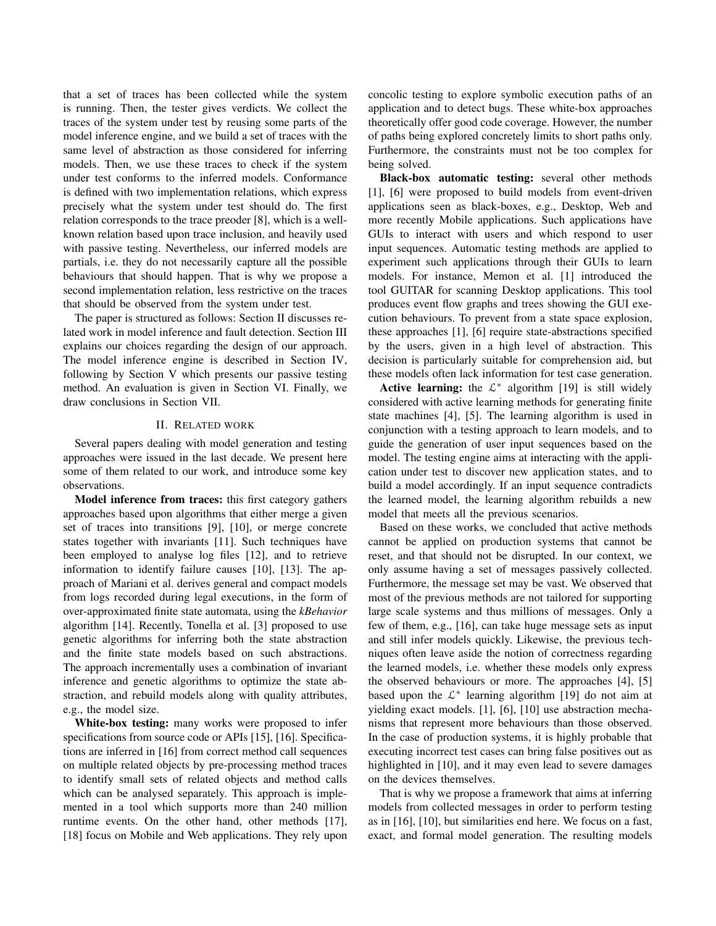that a set of traces has been collected while the system is running. Then, the tester gives verdicts. We collect the traces of the system under test by reusing some parts of the model inference engine, and we build a set of traces with the same level of abstraction as those considered for inferring models. Then, we use these traces to check if the system under test conforms to the inferred models. Conformance is defined with two implementation relations, which express precisely what the system under test should do. The first relation corresponds to the trace preoder [8], which is a wellknown relation based upon trace inclusion, and heavily used with passive testing. Nevertheless, our inferred models are partials, i.e. they do not necessarily capture all the possible behaviours that should happen. That is why we propose a second implementation relation, less restrictive on the traces that should be observed from the system under test.

The paper is structured as follows: Section II discusses related work in model inference and fault detection. Section III explains our choices regarding the design of our approach. The model inference engine is described in Section IV, following by Section V which presents our passive testing method. An evaluation is given in Section VI. Finally, we draw conclusions in Section VII.

#### II. RELATED WORK

Several papers dealing with model generation and testing approaches were issued in the last decade. We present here some of them related to our work, and introduce some key observations.

Model inference from traces: this first category gathers approaches based upon algorithms that either merge a given set of traces into transitions [9], [10], or merge concrete states together with invariants [11]. Such techniques have been employed to analyse log files [12], and to retrieve information to identify failure causes [10], [13]. The approach of Mariani et al. derives general and compact models from logs recorded during legal executions, in the form of over-approximated finite state automata, using the *kBehavior* algorithm [14]. Recently, Tonella et al. [3] proposed to use genetic algorithms for inferring both the state abstraction and the finite state models based on such abstractions. The approach incrementally uses a combination of invariant inference and genetic algorithms to optimize the state abstraction, and rebuild models along with quality attributes, e.g., the model size.

White-box testing: many works were proposed to infer specifications from source code or APIs [15], [16]. Specifications are inferred in [16] from correct method call sequences on multiple related objects by pre-processing method traces to identify small sets of related objects and method calls which can be analysed separately. This approach is implemented in a tool which supports more than 240 million runtime events. On the other hand, other methods [17], [18] focus on Mobile and Web applications. They rely upon concolic testing to explore symbolic execution paths of an application and to detect bugs. These white-box approaches theoretically offer good code coverage. However, the number of paths being explored concretely limits to short paths only. Furthermore, the constraints must not be too complex for being solved.

Black-box automatic testing: several other methods [1], [6] were proposed to build models from event-driven applications seen as black-boxes, e.g., Desktop, Web and more recently Mobile applications. Such applications have GUIs to interact with users and which respond to user input sequences. Automatic testing methods are applied to experiment such applications through their GUIs to learn models. For instance, Memon et al. [1] introduced the tool GUITAR for scanning Desktop applications. This tool produces event flow graphs and trees showing the GUI execution behaviours. To prevent from a state space explosion, these approaches [1], [6] require state-abstractions specified by the users, given in a high level of abstraction. This decision is particularly suitable for comprehension aid, but these models often lack information for test case generation.

Active learning: the  $\mathcal{L}^*$  algorithm [19] is still widely considered with active learning methods for generating finite state machines [4], [5]. The learning algorithm is used in conjunction with a testing approach to learn models, and to guide the generation of user input sequences based on the model. The testing engine aims at interacting with the application under test to discover new application states, and to build a model accordingly. If an input sequence contradicts the learned model, the learning algorithm rebuilds a new model that meets all the previous scenarios.

Based on these works, we concluded that active methods cannot be applied on production systems that cannot be reset, and that should not be disrupted. In our context, we only assume having a set of messages passively collected. Furthermore, the message set may be vast. We observed that most of the previous methods are not tailored for supporting large scale systems and thus millions of messages. Only a few of them, e.g., [16], can take huge message sets as input and still infer models quickly. Likewise, the previous techniques often leave aside the notion of correctness regarding the learned models, i.e. whether these models only express the observed behaviours or more. The approaches [4], [5] based upon the  $\mathcal{L}^*$  learning algorithm [19] do not aim at yielding exact models. [1], [6], [10] use abstraction mechanisms that represent more behaviours than those observed. In the case of production systems, it is highly probable that executing incorrect test cases can bring false positives out as highlighted in [10], and it may even lead to severe damages on the devices themselves.

That is why we propose a framework that aims at inferring models from collected messages in order to perform testing as in [16], [10], but similarities end here. We focus on a fast, exact, and formal model generation. The resulting models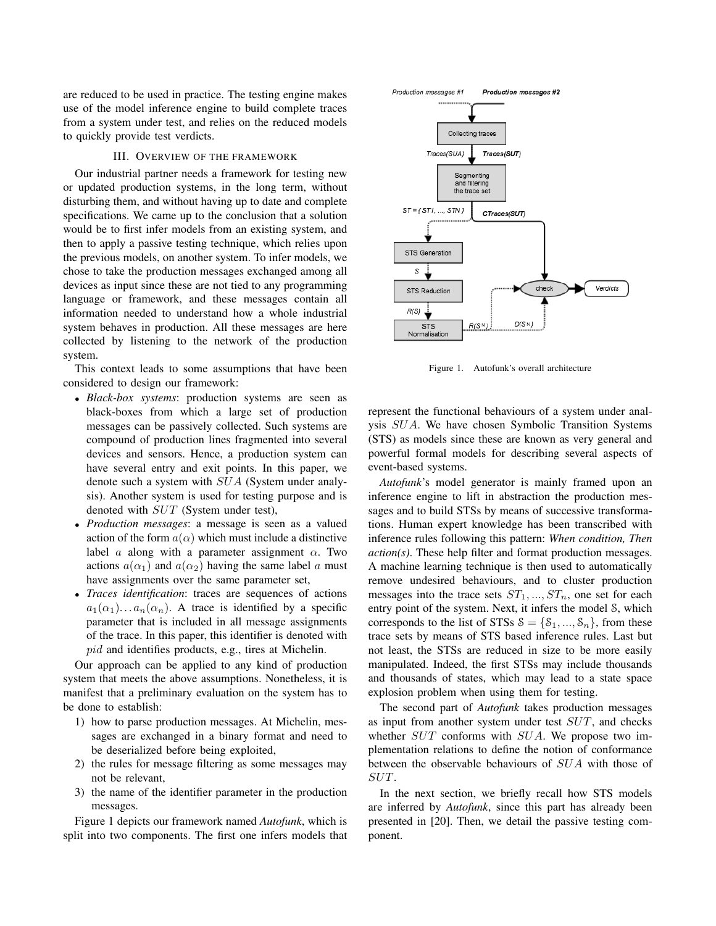are reduced to be used in practice. The testing engine makes use of the model inference engine to build complete traces from a system under test, and relies on the reduced models to quickly provide test verdicts.

#### III. OVERVIEW OF THE FRAMEWORK

Our industrial partner needs a framework for testing new or updated production systems, in the long term, without disturbing them, and without having up to date and complete specifications. We came up to the conclusion that a solution would be to first infer models from an existing system, and then to apply a passive testing technique, which relies upon the previous models, on another system. To infer models, we chose to take the production messages exchanged among all devices as input since these are not tied to any programming language or framework, and these messages contain all information needed to understand how a whole industrial system behaves in production. All these messages are here collected by listening to the network of the production system.

This context leads to some assumptions that have been considered to design our framework:

- *• Black-box systems*: production systems are seen as black-boxes from which a large set of production messages can be passively collected. Such systems are compound of production lines fragmented into several devices and sensors. Hence, a production system can have several entry and exit points. In this paper, we denote such a system with *SUA* (System under analysis). Another system is used for testing purpose and is denoted with *SUT* (System under test),
- *• Production messages*: a message is seen as a valued action of the form  $a(\alpha)$  which must include a distinctive label  $\alpha$  along with a parameter assignment  $\alpha$ . Two actions  $a(\alpha_1)$  and  $a(\alpha_2)$  having the same label *a* must have assignments over the same parameter set,
- *• Traces identification*: traces are sequences of actions  $a_1(\alpha_1) \dots a_n(\alpha_n)$ . A trace is identified by a specific parameter that is included in all message assignments of the trace. In this paper, this identifier is denoted with *pid* and identifies products, e.g., tires at Michelin.

Our approach can be applied to any kind of production system that meets the above assumptions. Nonetheless, it is manifest that a preliminary evaluation on the system has to be done to establish:

- 1) how to parse production messages. At Michelin, messages are exchanged in a binary format and need to be deserialized before being exploited,
- 2) the rules for message filtering as some messages may not be relevant,
- 3) the name of the identifier parameter in the production messages.

Figure 1 depicts our framework named *Autofunk*, which is split into two components. The first one infers models that



Figure 1. Autofunk's overall architecture

represent the functional behaviours of a system under analysis *SUA*. We have chosen Symbolic Transition Systems (STS) as models since these are known as very general and powerful formal models for describing several aspects of event-based systems.

*Autofunk*'s model generator is mainly framed upon an inference engine to lift in abstraction the production messages and to build STSs by means of successive transformations. Human expert knowledge has been transcribed with inference rules following this pattern: *When condition, Then action(s)*. These help filter and format production messages. A machine learning technique is then used to automatically remove undesired behaviours, and to cluster production messages into the trace sets  $ST_1, ..., ST_n$ , one set for each entry point of the system. Next, it infers the model S, which corresponds to the list of STSs  $S = \{S_1, ..., S_n\}$ , from these trace sets by means of STS based inference rules. Last but not least, the STSs are reduced in size to be more easily manipulated. Indeed, the first STSs may include thousands and thousands of states, which may lead to a state space explosion problem when using them for testing.

The second part of *Autofunk* takes production messages as input from another system under test *SUT*, and checks whether *SUT* conforms with *SUA*. We propose two implementation relations to define the notion of conformance between the observable behaviours of *SUA* with those of *SUT*.

In the next section, we briefly recall how STS models are inferred by *Autofunk*, since this part has already been presented in [20]. Then, we detail the passive testing component.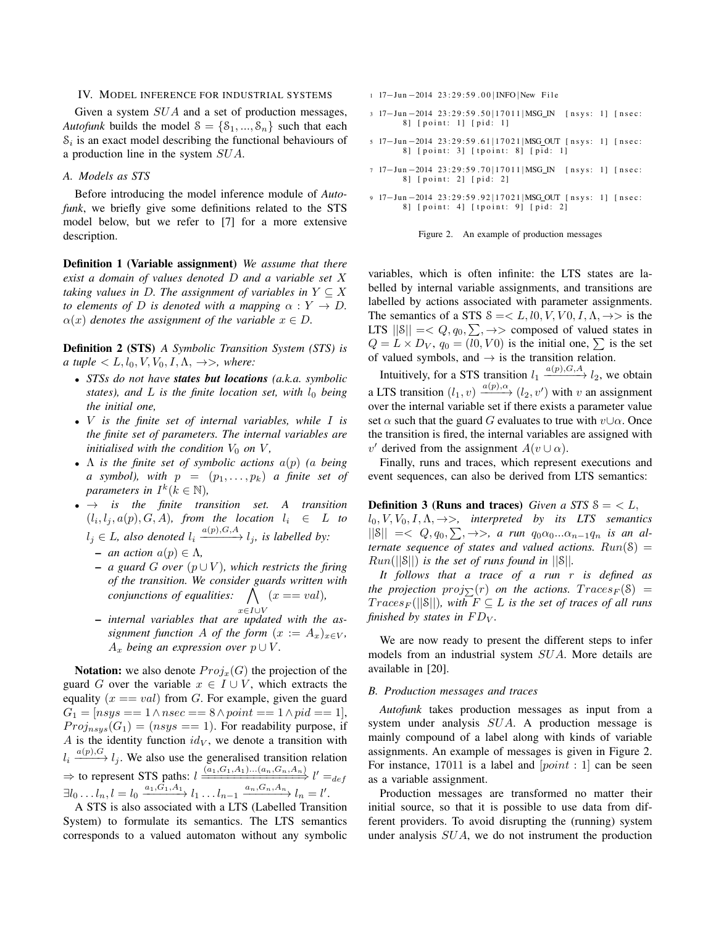#### IV. MODEL INFERENCE FOR INDUSTRIAL SYSTEMS

Given a system *SUA* and a set of production messages, *Autofunk* builds the model  $S = \{S_1, ..., S_n\}$  such that each  $S_i$  is an exact model describing the functional behaviours of a production line in the system *SUA*.

#### *A. Models as STS*

Before introducing the model inference module of *Autofunk*, we briefly give some definitions related to the STS model below, but we refer to [7] for a more extensive description.

Definition 1 (Variable assignment) *We assume that there exist a domain of values denoted D and a variable set X taking values in D. The assignment of variables in*  $Y \subseteq X$ *to elements of D is denoted with a mapping*  $\alpha : Y \rightarrow D$ *.*  $\alpha(x)$  *denotes the assignment of the variable*  $x \in D$ *.* 

Definition 2 (STS) *A Symbolic Transition System (STS) is a tuple*  $\langle L, l_0, V, V_0, I, \Lambda, \rightarrow \rangle$ , where:

- *• STSs do not have states but locations (a.k.a. symbolic states), and*  $L$  *is the finite location set, with*  $l_0$  *being the initial one,*
- *• V is the finite set of internal variables, while I is the finite set of parameters. The internal variables are initialised with the condition*  $V_0$  *on*  $V$ *,*
- $\Lambda$  *is the finite set of symbolic actions*  $a(p)$  *(a being a* symbol), with  $p = (p_1, \ldots, p_k)$  *a* finite set of *parameters in*  $I^k$  ( $k \in \mathbb{N}$ ),
- $\bullet \rightarrow \text{ is the finite transition set. A transition}$  $(l_i, l_j, a(p), G, A)$ *, from the location*  $l_i \in L$  *to*  $l_j \in L$ *, also denoted*  $l_i \xrightarrow{a(p), G, A} l_j$ *, is labelled by:* 
	- $-$  *an action*  $a(p) \in \Lambda$ ,
	- $-$  *a guard G over* ( $p \cup V$ ), which restricts the firing *of the transition. We consider guards written with conjunctions of equalities:* ^  $(x == val)$ ,
	- $x \in I \cup V$ – *internal variables that are updated with the assignment function A of the form*  $(x := A_x)_{x \in V}$ ,  $A_x$  *being an expression over*  $p \cup V$ .

**Notation:** we also denote  $Proj_x(G)$  the projection of the guard *G* over the variable  $x \in I \cup V$ , which extracts the equality  $(x == val)$  from *G*. For example, given the guard  $G_1 = [nsys == 1 \land nsec == 8 \land point == 1 \land pid == 1],$  $Proj_{nsys}(G_1) = (nsys == 1)$ . For readability purpose, if *A* is the identity function  $id_V$ , we denote a transition with  $l_i \xrightarrow{a(p), G} l_j$ . We also use the generalised transition relation  $\Rightarrow$  to represent STS paths:  $l \stackrel{(a_1, G_1, A_1) \dots (a_n, G_n, A_n)}{\triangleq} l' =_{def}$  $\exists l_0 \dots l_n, l = l_0 \xrightarrow{a_1, G_1, A_1} l_1 \dots l_{n-1} \xrightarrow{a_n, G_n, A_n} l_n = l'.$ 

A STS is also associated with a LTS (Labelled Transition System) to formulate its semantics. The LTS semantics corresponds to a valued automaton without any symbolic

- <sup>1</sup> 17Jun 2014 23 : 2 9: 5 9 . 0 0 *|* INFO*|*New F i l e
- 3 17-Jun 2014 23:29:59.50 | 17011 | MSG\_IN [nsys: 1] [nsec: 8] [ point: 1] [ pid: 1]
- 5 17-Jun 2014 23:29:59.61 | 17021 | MSG\_OUT [nsys: 1] [nsec: 8] [ point: 3] [ tpoint: 8] [ pid: 1]
- 7 17-Jun 2014 23:29:59.70 | 17011 | MSG\_IN [nsys: 1] [nsec: 8] [ point: 2] [ pid: 2]
- 9 17-Jun 2014 23:29:59.92 | 17021 | MSG\_OUT [nsys: 1] [nsec: 8] [ point: 4] [ tpoint: 9] [ pid: 2]



variables, which is often infinite: the LTS states are labelled by internal variable assignments, and transitions are labelled by actions associated with parameter assignments. The semantics of a STS  $S = < L, l0, V, V0, I, \Lambda, \rightarrow>$  is the LTS  $||S|| = \langle Q, q_0, \sum, \rightarrow \rangle$  composed of valued states in  $Q = L \times D_V$ ,  $q_0 = (l0, V0)$  is the initial one,  $\sum$  is the set of valued symbols, and  $\rightarrow$  is the transition relation.

Intuitively, for a STS transition  $l_1 \xrightarrow{a(p), G, A} l_2$ , we obtain a LTS transition  $(l_1, v) \xrightarrow{a(p), \alpha} (l_2, v')$  with *v* an assignment over the internal variable set if there exists a parameter value set  $\alpha$  such that the guard *G* evaluates to true with  $v \cup \alpha$ . Once the transition is fired, the internal variables are assigned with *v*<sup> $\prime$ </sup> derived from the assignment  $A(\nu \cup \alpha)$ .

Finally, runs and traces, which represent executions and event sequences, can also be derived from LTS semantics:

**Definition 3 (Runs and traces)** *Given a STS*  $\delta = \langle L, \rangle$  $l_0, V, V_0, I, \Lambda, \rightarrow$ , interpreted by its LTS semantics  $||\mathcal{S}||$  =<  $Q, q_0, \sum, \rightarrow >$ , a run  $q_0\alpha_0...\alpha_{n-1}q_n$  is an al*ternate sequence of states and valued actions.*  $Run(\mathcal{S}) =$ *Run*( $||\mathcal{S}||$ ) *is the set of runs found in*  $||\mathcal{S}||$ *.* 

*It follows that a trace of a run r is defined as the projection proj* $\overline{p}(r)$  *on the actions.*  $TraceF(S) =$  $Traces_F(||\mathcal{S}||)$ *, with*  $F \subseteq L$  *is the set of traces of all runs finished by states in*  $FD_V$ *.* 

We are now ready to present the different steps to infer models from an industrial system *SUA*. More details are available in [20].

#### *B. Production messages and traces*

*Autofunk* takes production messages as input from a system under analysis *SUA*. A production message is mainly compound of a label along with kinds of variable assignments. An example of messages is given in Figure 2. For instance, 17011 is a label and [*point* : 1] can be seen as a variable assignment.

Production messages are transformed no matter their initial source, so that it is possible to use data from different providers. To avoid disrupting the (running) system under analysis *SUA*, we do not instrument the production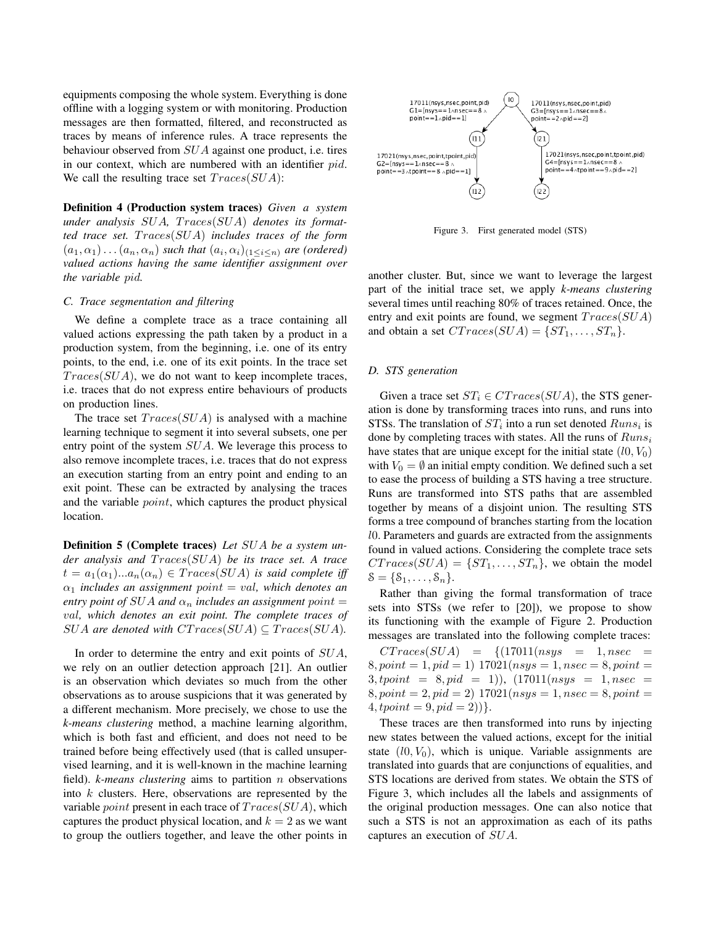equipments composing the whole system. Everything is done offline with a logging system or with monitoring. Production messages are then formatted, filtered, and reconstructed as traces by means of inference rules. A trace represents the behaviour observed from *SUA* against one product, i.e. tires in our context, which are numbered with an identifier *pid*. We call the resulting trace set *T races*(*SUA*):

Definition 4 (Production system traces) *Given a system under analysis SUA, T races*(*SUA*) *denotes its formatted trace set. T races*(*SUA*) *includes traces of the form*  $(a_1, \alpha_1) \ldots (a_n, \alpha_n)$  *such that*  $(a_i, \alpha_i)_{(1 \le i \le n)}$  *are (ordered) valued actions having the same identifier assignment over the variable pid.*

#### *C. Trace segmentation and filtering*

We define a complete trace as a trace containing all valued actions expressing the path taken by a product in a production system, from the beginning, i.e. one of its entry points, to the end, i.e. one of its exit points. In the trace set *T races*(*SUA*), we do not want to keep incomplete traces, i.e. traces that do not express entire behaviours of products on production lines.

The trace set *T races*(*SUA*) is analysed with a machine learning technique to segment it into several subsets, one per entry point of the system *SUA*. We leverage this process to also remove incomplete traces, i.e. traces that do not express an execution starting from an entry point and ending to an exit point. These can be extracted by analysing the traces and the variable *point*, which captures the product physical location.

Definition 5 (Complete traces) *Let SUA be a system under analysis and T races*(*SUA*) *be its trace set. A trace*  $t = a_1(\alpha_1)...a_n(\alpha_n) \in Traces(SUA)$  *is said complete iff*  $\alpha_1$  *includes an assignment point* = *val, which denotes an entry point of SUA and*  $\alpha_n$  *includes an assignment point* = *val, which denotes an exit point. The complete traces of*  $SUA$  *are denoted with*  $CTraces(SUA) \subseteq Traces(SUA)$ .

In order to determine the entry and exit points of *SUA*, we rely on an outlier detection approach [21]. An outlier is an observation which deviates so much from the other observations as to arouse suspicions that it was generated by a different mechanism. More precisely, we chose to use the *k-means clustering* method, a machine learning algorithm, which is both fast and efficient, and does not need to be trained before being effectively used (that is called unsupervised learning, and it is well-known in the machine learning field). *k-means clustering* aims to partition *n* observations into *k* clusters. Here, observations are represented by the variable *point* present in each trace of *T races*(*SUA*), which captures the product physical location, and  $k = 2$  as we want to group the outliers together, and leave the other points in



Figure 3. First generated model (STS)

another cluster. But, since we want to leverage the largest part of the initial trace set, we apply *k-means clustering* several times until reaching 80% of traces retained. Once, the entry and exit points are found, we segment *T races*(*SUA*) and obtain a set  $CT races(SUA) = \{ST_1, \ldots, ST_n\}.$ 

#### *D. STS generation*

Given a trace set  $ST_i \in \mathbb{C}Trace(SUA)$ , the STS generation is done by transforming traces into runs, and runs into STSs. The translation of *ST<sup>i</sup>* into a run set denoted *Runs<sup>i</sup>* is done by completing traces with states. All the runs of *Runs<sup>i</sup>* have states that are unique except for the initial state  $(l0, V_0)$ with  $V_0 = \emptyset$  an initial empty condition. We defined such a set to ease the process of building a STS having a tree structure. Runs are transformed into STS paths that are assembled together by means of a disjoint union. The resulting STS forms a tree compound of branches starting from the location *l*0. Parameters and guards are extracted from the assignments found in valued actions. Considering the complete trace sets  $CT races(SUA) = {ST_1, \ldots, ST_n}$ , we obtain the model  $S = \{S_1, \ldots, S_n\}.$ 

Rather than giving the formal transformation of trace sets into STSs (we refer to [20]), we propose to show its functioning with the example of Figure 2. Production messages are translated into the following complete traces:

 $CT races(SUA) = \{(17011(nsys = 1, nsec = 1, nsec = 1, nsec = 1, nsec = 1, nsec = 1, nsec = 1, nsec = 1, nsec = 1, nsec = 1, nsec = 1, nsec = 1, nsec = 1, nsec = 1, nsec = 1, nsec = 1, nsec = 1, nsec = 1, nsec = 1, nsec = 1, nsec = 1, nsec = 1, nsec = 1, nsec = 1, nsec = 1, nsec = 1, nsec = 1, nsec = 1, nsec = 1, nsec = 1, nsec = 1, nsec = 1, nsec = 1, nsec = 1, nsec =$ 8*, point* = 1*, pid* = 1) 17021(*nsys* = 1*, nsec* = 8*, point* =  $3, t point = 8, pid = 1), (17011(nsys = 1, nsec = 1))$ 8*, point* = 2*, pid* = 2) 17021(*nsys* = 1*, nsec* = 8*, point* =  $4, t point = 9, pid = 2)$ }.

These traces are then transformed into runs by injecting new states between the valued actions, except for the initial state (*l*0*, V*0), which is unique. Variable assignments are translated into guards that are conjunctions of equalities, and STS locations are derived from states. We obtain the STS of Figure 3, which includes all the labels and assignments of the original production messages. One can also notice that such a STS is not an approximation as each of its paths captures an execution of *SUA*.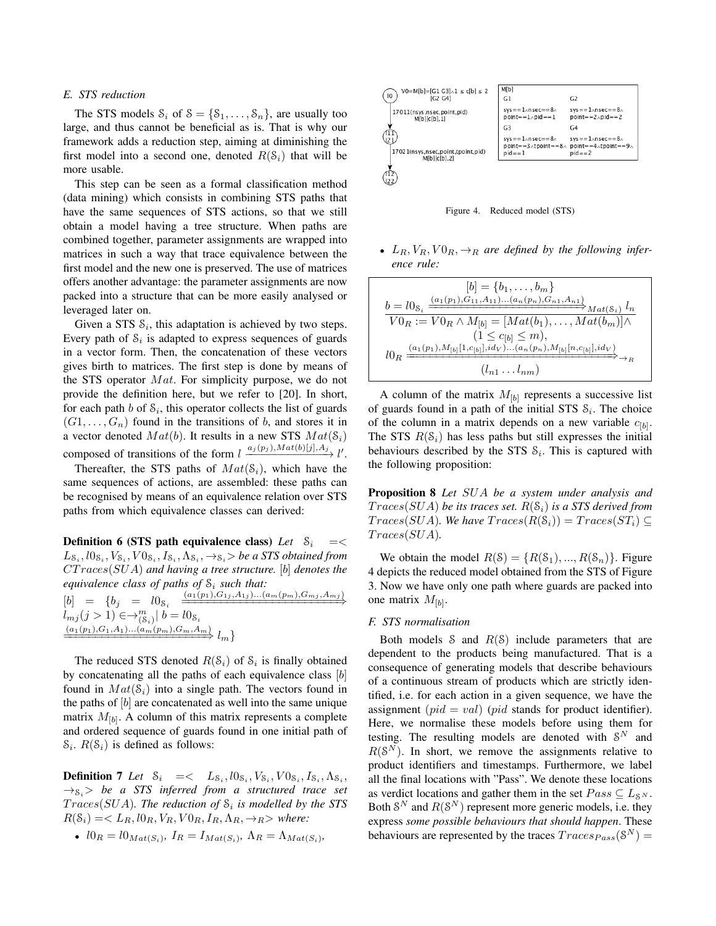#### *E. STS reduction*

The STS models  $S_i$  of  $S = \{S_1, \ldots, S_n\}$ , are usually too large, and thus cannot be beneficial as is. That is why our framework adds a reduction step, aiming at diminishing the first model into a second one, denoted  $R(S_i)$  that will be more usable.

This step can be seen as a formal classification method (data mining) which consists in combining STS paths that have the same sequences of STS actions, so that we still obtain a model having a tree structure. When paths are combined together, parameter assignments are wrapped into matrices in such a way that trace equivalence between the first model and the new one is preserved. The use of matrices offers another advantage: the parameter assignments are now packed into a structure that can be more easily analysed or leveraged later on.

Given a STS  $S_i$ , this adaptation is achieved by two steps. Every path of  $S_i$  is adapted to express sequences of guards in a vector form. Then, the concatenation of these vectors gives birth to matrices. The first step is done by means of the STS operator *M at*. For simplicity purpose, we do not provide the definition here, but we refer to [20]. In short, for each path  $b$  of  $\mathcal{S}_i$ , this operator collects the list of guards  $(G1, \ldots, G_n)$  found in the transitions of *b*, and stores it in a vector denoted  $Mat(b)$ . It results in a new STS  $Mat(\mathcal{S}_i)$ composed of transitions of the form  $l \xrightarrow{a_j(p_j), Mat(b)[j], A_j} l'$ .

Thereafter, the STS paths of  $Mat(\mathcal{S}_i)$ , which have the same sequences of actions, are assembled: these paths can be recognised by means of an equivalence relation over STS paths from which equivalence classes can derived:

Definition 6 (STS path equivalence class) *Let* S*<sup>i</sup>* =*<*  $L_{\mathcal{S}_i}$ ,  $l_0$ <sub> $\mathcal{S}_i$ </sub>,  $V_{\mathcal{S}_i}$ ,  $V_0$ <sub> $\mathcal{S}_i$ </sub>,  $I_{\mathcal{S}_i}$ ,  $\Lambda_{\mathcal{S}_i}$ ,  $\rightarrow$   $\mathcal{S}_i$  > *be a STS obtained from CT races*(*SUA*) *and having a tree structure.* [*b*] *denotes the equivalence class of paths of* S*<sup>i</sup> such that:*  $[b] = \{b_j = l0_{s_i}\}$  $\frac{(a_1(p_1),G_{1j},A_{1j})...(a_m(p_m),G_{mj},A_{mj})}{(a_m(p_m),G_{mj},A_{mj})}$  $l_{mj}(j > 1) \in \rightarrow_{(S_i)}^m | b = l_{S_i}$  $\frac{(a_1(p_1),G_1,A_1)...(a_m(p_m),G_m,A_m)}{m}$ 

The reduced STS denoted  $R(S_i)$  of  $S_i$  is finally obtained by concatenating all the paths of each equivalence class [*b*] found in  $Mat(\mathcal{S}_i)$  into a single path. The vectors found in the paths of [*b*] are concatenated as well into the same unique matrix  $M_{[b]}$ . A column of this matrix represents a complete and ordered sequence of guards found in one initial path of  $S_i$ .  $R(S_i)$  is defined as follows:

**Definition 7** Let  $S_i$  =<  $L_{S_i}, l0_{S_i}, V_{S_i}, V0_{S_i}, I_{S_i}, \Lambda_{S_i},$  $\rightarrow$ <sub>S<sub>i</sub></sub> $>$  *be a STS inferred from a structured trace set T races*(*SUA*)*. The reduction of* S*<sup>i</sup> is modelled by the STS*  $R(\mathcal{S}_i) = \langle L_R, l0_R, V_R, V0_R, I_R, \Lambda_R, \rightarrow_R \rangle$  where:

•  $l0_R = l0_{Mat(S_i)}$ ,  $I_R = I_{Mat(S_i)}$ ,  $\Lambda_R = \Lambda_{Mat(S_i)}$ ,



Figure 4. Reduced model (STS)

•  $L_R$ ,  $V_R$ ,  $V0_R$ ,  $\rightarrow$ <sub>R</sub> are defined by the following infer*ence rule:*

$$
[b] = \{b_1, \ldots, b_m\}
$$
  
\n
$$
b = l0_{S_i} \xrightarrow{(a_1(p_1), G_{11}, A_{11}) \ldots (a_n(p_n), G_{n1}, A_{n1})} Mat(S_i) l_n
$$
  
\n
$$
\overline{V0_R} := \overline{V0_R \wedge M_{[b]}} = [Mat(b_1), \ldots, Mat(b_m)] \wedge
$$
  
\n
$$
(1 \le c_{[b]} \le m),
$$
  
\n
$$
l0_R \xrightarrow{(a_1(p_1), M_{[b]}[1, c_{[b]}], id_V) \ldots (a_n(p_n), M_{[b]}[n, c_{[b]}], id_V)}
$$
  
\n
$$
(l_{n1} \ldots l_{nm}) \xrightarrow{(l_{n1} \ldots l_{nm})}
$$

A column of the matrix  $M_{[b]}$  represents a successive list of guards found in a path of the initial STS  $S_i$ . The choice of the column in a matrix depends on a new variable  $c_{[b]}$ . The STS  $R(\mathcal{S}_i)$  has less paths but still expresses the initial behaviours described by the STS S*i*. This is captured with the following proposition:

Proposition 8 *Let SUA be a system under analysis and*  $Trace(SUA)$  *be its traces set.*  $R(S_i)$  *is a STS derived from*  $Trace(SUA)$ *. We have*  $Trace(R(S_i)) = Trace(ST_i) \subseteq$ *T races*(*SUA*)*.*

We obtain the model  $R(S) = \{R(S_1), ..., R(S_n)\}\$ . Figure 4 depicts the reduced model obtained from the STS of Figure 3. Now we have only one path where guards are packed into one matrix *M*[*b*].

#### *F. STS normalisation*

Both models S and *R*(S) include parameters that are dependent to the products being manufactured. That is a consequence of generating models that describe behaviours of a continuous stream of products which are strictly identified, i.e. for each action in a given sequence, we have the assignment  $(pid = val)$  (*pid* stands for product identifier). Here, we normalise these models before using them for testing. The resulting models are denoted with S*<sup>N</sup>* and  $R(S<sup>N</sup>)$ . In short, we remove the assignments relative to product identifiers and timestamps. Furthermore, we label all the final locations with "Pass". We denote these locations as verdict locations and gather them in the set  $Pass \subseteq L_{S^N}$ . Both  $S^N$  and  $R(S^N)$  represent more generic models, i.e. they express *some possible behaviours that should happen*. These behaviours are represented by the traces  $Trace_{Pass}(\mathcal{S}^N)$  =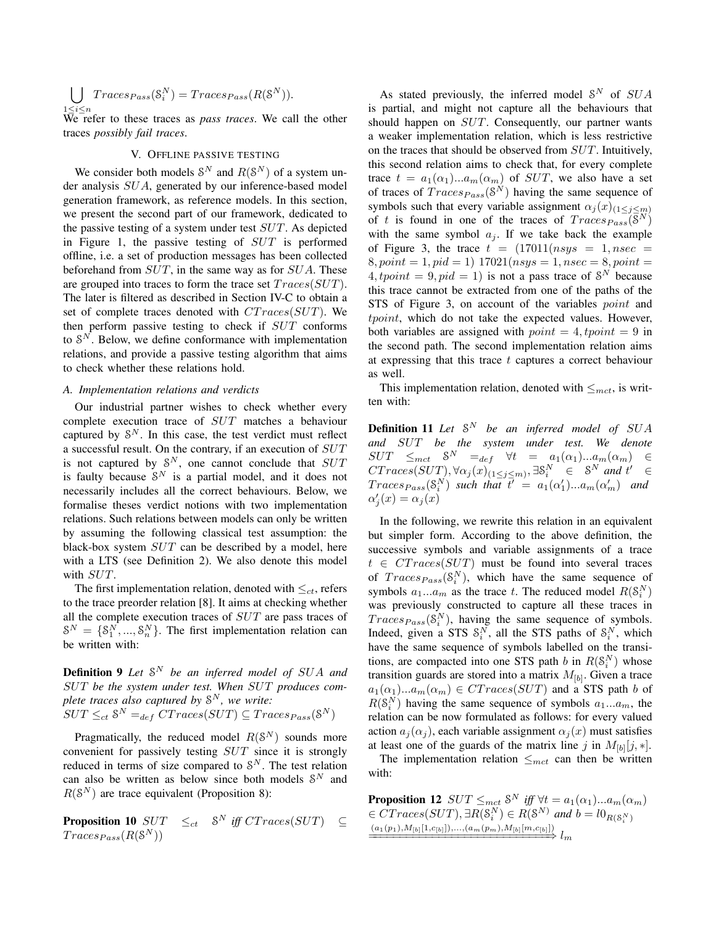$\bigcup$   $Traces_{Pass}(\mathcal{S}_i^N) = Traces_{Pass}(R(\mathcal{S}^N)).$ 

 $1 \le i \le n$ <br>We refer to these traces as *pass traces*. We call the other traces *possibly fail traces*.

### V. OFFLINE PASSIVE TESTING

We consider both models  $S^N$  and  $R(S^N)$  of a system under analysis *SUA*, generated by our inference-based model generation framework, as reference models. In this section, we present the second part of our framework, dedicated to the passive testing of a system under test *SUT*. As depicted in Figure 1, the passive testing of *SUT* is performed offline, i.e. a set of production messages has been collected beforehand from *SUT*, in the same way as for *SUA*. These are grouped into traces to form the trace set *T races*(*SUT*). The later is filtered as described in Section IV-C to obtain a set of complete traces denoted with *CT races*(*SUT*). We then perform passive testing to check if *SUT* conforms to  $S<sup>N</sup>$ . Below, we define conformance with implementation relations, and provide a passive testing algorithm that aims to check whether these relations hold.

#### *A. Implementation relations and verdicts*

Our industrial partner wishes to check whether every complete execution trace of *SUT* matches a behaviour captured by  $S<sup>N</sup>$ . In this case, the test verdict must reflect a successful result. On the contrary, if an execution of *SUT* is not captured by S*<sup>N</sup>* , one cannot conclude that *SUT* is faulty because  $S^N$  is a partial model, and it does not necessarily includes all the correct behaviours. Below, we formalise theses verdict notions with two implementation relations. Such relations between models can only be written by assuming the following classical test assumption: the black-box system *SUT* can be described by a model, here with a LTS (see Definition 2). We also denote this model with *SUT*.

The first implementation relation, denoted with  $\leq_{ct}$ , refers to the trace preorder relation [8]. It aims at checking whether all the complete execution traces of *SUT* are pass traces of  $S^N = \{S_1^N, ..., S_n^N\}$ . The first implementation relation can be written with:

Definition 9 *Let* S*<sup>N</sup> be an inferred model of SUA and SUT be the system under test. When SUT produces complete traces also captured by* S*<sup>N</sup> , we write:*  $\hat{S}UT \leq_{ct} \hat{S}^N =_{def} \hat{C}Trace(SUT) \subseteq Trace_{Pass}(\hat{S}^N)$ 

Pragmatically, the reduced model  $R(S^N)$  sounds more convenient for passively testing *SUT* since it is strongly reduced in terms of size compared to  $S<sup>N</sup>$ . The test relation can also be written as below since both models S*<sup>N</sup>* and  $R(S<sup>N</sup>)$  are trace equivalent (Proposition 8):

**Proposition 10** *SUT*  $\leq_{ct}$  *S<sup>N</sup> iff CT races*(*SUT*)  $\subseteq$  $Traces_{Pass}(R(S^N))$ 

As stated previously, the inferred model S*<sup>N</sup>* of *SUA* is partial, and might not capture all the behaviours that should happen on *SUT*. Consequently, our partner wants a weaker implementation relation, which is less restrictive on the traces that should be observed from *SUT*. Intuitively, this second relation aims to check that, for every complete trace  $t = a_1(\alpha_1)...a_m(\alpha_m)$  of  $SUT$ , we also have a set of traces of  $TraceSp_{ass}(S^N)$  having the same sequence of symbols such that every variable assignment  $\alpha_j(x)_{(1 \leq j \leq m)}$ of *t* is found in one of the traces of  $TraceSp<sub>ass</sub>(\bar{S}^N)$ with the same symbol  $a_j$ . If we take back the example of Figure 3, the trace  $t = (17011(nsys = 1, nsec =$ 8*, point* = 1*, pid* = 1) 17021(*nsys* = 1*, nsec* = 8*, point* =  $4, t point = 9, pid = 1$ ) is not a pass trace of  $S<sup>N</sup>$  because this trace cannot be extracted from one of the paths of the STS of Figure 3, on account of the variables *point* and *tpoint*, which do not take the expected values. However, both variables are assigned with  $point = 4, topint = 9$  in the second path. The second implementation relation aims at expressing that this trace *t* captures a correct behaviour as well.

This implementation relation, denoted with  $\leq_{mct}$ , is written with:

Definition 11 *Let* S*<sup>N</sup> be an inferred model of SUA and SUT be the system under test. We denote*  $SUT \leq_{mct} \mathcal{S}^N =_{def} \forall t = a_1(\alpha_1)...a_m(\alpha_m) \in CTrace(SUT), \forall \alpha_i(x)_{(1 \leq i \leq m)}, \exists \mathcal{S}^N_i \in \mathcal{S}^N \text{ and } t' \in$  $CTrace(SUT), \forall \alpha_j(x)_{(1 \leq j \leq m)}, \exists \mathcal{S}_i^N \in \mathcal{S}^N \text{ and } t' \in \mathcal{S}^N$  $Traces_{Pass}(\mathcal{S}_i^N)$  *such that*  $\overline{t'} = a_1(\alpha'_1) ... a_m(\alpha'_m)$  *and*  $\alpha'_j(x) = \alpha_j(x)$ 

In the following, we rewrite this relation in an equivalent but simpler form. According to the above definition, the successive symbols and variable assignments of a trace  $t \in \text{CT} \text{races}(\text{SUT})$  must be found into several traces of  $Traces_{Pass}(\mathcal{S}_i^N)$ , which have the same sequence of symbols  $a_1...a_m$  as the trace *t*. The reduced model  $R(\mathcal{S}_i^N)$ was previously constructed to capture all these traces in  $Traces_{Pass}(\mathcal{S}_i^N)$ , having the same sequence of symbols. Indeed, given a STS  $S_i^N$ , all the STS paths of  $S_i^N$ , which have the same sequence of symbols labelled on the transitions, are compacted into one STS path *b* in  $R(S_i^N)$  whose transition guards are stored into a matrix  $M_{[b]}$ . Given a trace  $a_1(\alpha_1)...a_m(\alpha_m) \in \text{CT} races(SUT)$  and a STS path *b* of  $R(S_i^N)$  having the same sequence of symbols  $a_1...a_m$ , the relation can be now formulated as follows: for every valued action  $a_j(\alpha_j)$ , each variable assignment  $\alpha_j(x)$  must satisfies at least one of the guards of the matrix line *j* in  $M_{[b]}[j, *].$ 

The implementation relation  $\leq_{mct}$  can then be written with:

**Proposition 12**  $SUT \leq_{met} S^N$  iff  $\forall t = a_1(\alpha_1)...a_m(\alpha_m)$  $\in CTrace(SUT), \exists R(\mathcal{S}_i^N) \in R(\mathcal{S}^N) \text{ and } b = l0_{R(\mathcal{S}_i^N)}$  $\frac{(a_1(p_1), M_{[b]}[1, c_{[b]}]), \ldots, (a_m(p_m), M_{[b]}[m, c_{[b]}])}{m}$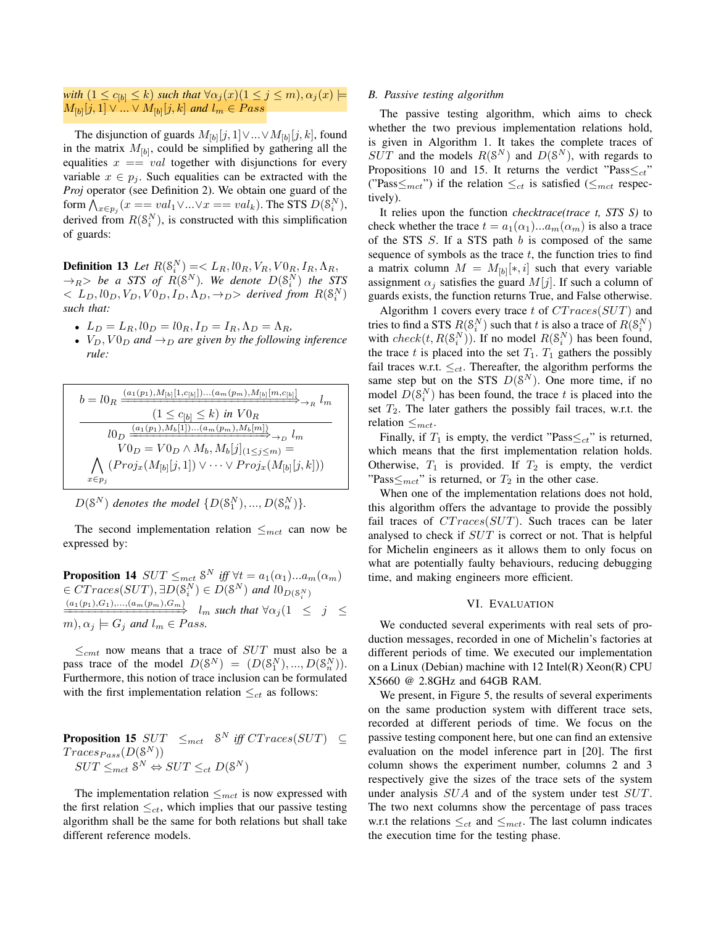*with*  $(1 \le c_{[b]} \le k)$  *such that*  $\forall \alpha_j(x) (1 \le j \le m), \alpha_j(x) \models$  $M_{[b]}[j,1] \vee ... \vee M_{[b]}[j,k]$  *and*  $l_m \in Pass$ 

The disjunction of guards  $M_{[b]}[j,1]\vee \ldots \vee M_{[b]}[j,k]$ , found in the matrix  $M_{[b]}$ , could be simplified by gathering all the equalities  $x == val$  together with disjunctions for every variable  $x \in p_j$ . Such equalities can be extracted with the *Proj* operator (see Definition 2). We obtain one guard of the form  $\bigwedge_{x \in p_j} (x == val_1 \vee ... \vee x == val_k)$ . The STS  $D(\mathcal{S}_i^N)$ , derived from  $R(S_i^N)$ , is constructed with this simplification of guards:

**Definition 13** Let  $R(S_i^N) = \langle L_R, l_0 R, V_R, V_0 R, I_R, \Lambda_R,$  $\rightarrow$ <sub>R</sub> $>$  *be a STS of R*( $\mathcal{S}^N$ )*. We denote*  $D(\mathcal{S}^N_i)$  *the STS*  $\langle L_D, l_0, V_D, V_0, I_D, \Lambda_D, \rightarrow_D \rangle$  derived from  $R(\mathcal{S}_i^N)$ *such that:*

- $L_D = L_R$ ,  $l0_D = l0_R$ ,  $I_D = I_R$ ,  $\Lambda_D = \Lambda_R$ ,
- $V_D$ ,  $V0_D$  *and*  $\rightarrow_D$  *are given by the following inference rule:*

$$
b = l0_R \frac{(a_1(p_1), M_{[b]}[1, c_{[b]}]) \dots (a_m(p_m), M_{[b]}[m, c_{[b]}])}{\left(1 \leq c_{[b]} \leq k\right) \text{ in } V0_R}
$$

$$
l0_D \frac{(a_1(p_1), M_b[1]) \dots (a_m(p_m), M_b[m])}{\left(V0_D = V0_D \land M_b, M_b[j](1 \leq j \leq m) = \text{ in } V0_D \right)} l_m
$$

$$
\bigwedge (Proj_x(M_{[b]}[j, 1]) \lor \dots \lor Proj_x(M_{[b]}[j, k]))
$$

$$
x \in p_j
$$

*D*( $S^N$ ) *denotes the model*  $\{D(S_1^N),...,D(S_n^N)\}$ *.* 

The second implementation relation  $\leq_{mct}$  can now be expressed by:

**Proposition 14**  $SUT \leq_{mct} S^N$  *iff*  $\forall t = a_1(\alpha_1)...a_m(\alpha_m)$  $\in CTrace(SUT), \exists D(\mathcal{S}_i^N) \in D(\mathcal{S}^N)$  and  $l0_{D(\mathcal{S}_i^N)}$  $\frac{(a_1(p_1),G_1),...,(a_m(p_m),G_m)}{l_m}$  *l<sub>m</sub>* such that  $\forall \alpha_j (1 \leq j \leq j)$  $(m), \alpha_j \models G_j$  *and*  $l_m \in Pass$ *.* 

 $\leq_{cmt}$  now means that a trace of *SUT* must also be a pass trace of the model  $D(8^N) = (D(8^N_1), ..., D(8^N_n))$ . Furthermore, this notion of trace inclusion can be formulated with the first implementation relation  $\leq_{ct}$  as follows:

**Proposition 15** *SUT*  $\leq_{mct}$  *S<sup>N</sup> iff CT races*(*SUT*)  $\subseteq$  $Traces_{Pass}(D(\mathcal{S}^N))$  $SUT \leq_{met} \mathcal{S}^N \Leftrightarrow SUT \leq_{ct} D(\mathcal{S}^N)$ 

The implementation relation  $\leq_{mct}$  is now expressed with the first relation  $\leq_{ct}$ , which implies that our passive testing algorithm shall be the same for both relations but shall take different reference models.

#### *B. Passive testing algorithm*

The passive testing algorithm, which aims to check whether the two previous implementation relations hold, is given in Algorithm 1. It takes the complete traces of *SUT* and the models  $R(S^N)$  and  $D(S^N)$ , with regards to Propositions 10 and 15. It returns the verdict "Pass $\leq_{ct}$ " ("Pass $\leq_{met}$ ") if the relation  $\leq_{ct}$  is satisfied ( $\leq_{met}$  respectively).

It relies upon the function *checktrace(trace t, STS S)* to check whether the trace  $t = a_1(\alpha_1)...a_m(\alpha_m)$  is also a trace of the STS *S*. If a STS path *b* is composed of the same sequence of symbols as the trace  $t$ , the function tries to find a matrix column  $M = M_{[b]}(*, i]$  such that every variable assignment  $\alpha_j$  satisfies the guard  $M[j]$ . If such a column of guards exists, the function returns True, and False otherwise.

Algorithm 1 covers every trace *t* of *CT races*(*SUT*) and tries to find a STS  $R(\mathcal{S}_i^N)$  such that *t* is also a trace of  $R(\mathcal{S}_i^N)$ with  $check(t, R(S_i^N))$ . If no model  $R(S_i^N)$  has been found, the trace  $t$  is placed into the set  $T_1$ .  $T_1$  gathers the possibly fail traces w.r.t.  $\leq_{ct}$ . Thereafter, the algorithm performs the same step but on the STS  $D(S^N)$ . One more time, if no model  $D(\mathcal{S}_i^N)$  has been found, the trace *t* is placed into the set *T*2. The later gathers the possibly fail traces, w.r.t. the relation  $\leq_{mct}$ .

Finally, if  $T_1$  is empty, the verdict "Pass $\leq_{ct}$ " is returned, which means that the first implementation relation holds. Otherwise,  $T_1$  is provided. If  $T_2$  is empty, the verdict "Pass $\leq_{mct}$ " is returned, or  $T_2$  in the other case.

When one of the implementation relations does not hold, this algorithm offers the advantage to provide the possibly fail traces of *CT races*(*SUT*). Such traces can be later analysed to check if *SUT* is correct or not. That is helpful for Michelin engineers as it allows them to only focus on what are potentially faulty behaviours, reducing debugging time, and making engineers more efficient.

#### VI. EVALUATION

We conducted several experiments with real sets of production messages, recorded in one of Michelin's factories at different periods of time. We executed our implementation on a Linux (Debian) machine with 12 Intel(R) Xeon(R) CPU X5660 @ 2.8GHz and 64GB RAM.

We present, in Figure 5, the results of several experiments on the same production system with different trace sets, recorded at different periods of time. We focus on the passive testing component here, but one can find an extensive evaluation on the model inference part in [20]. The first column shows the experiment number, columns 2 and 3 respectively give the sizes of the trace sets of the system under analysis *SUA* and of the system under test *SUT*. The two next columns show the percentage of pass traces w.r.t the relations  $\leq_{ct}$  and  $\leq_{mct}$ . The last column indicates the execution time for the testing phase.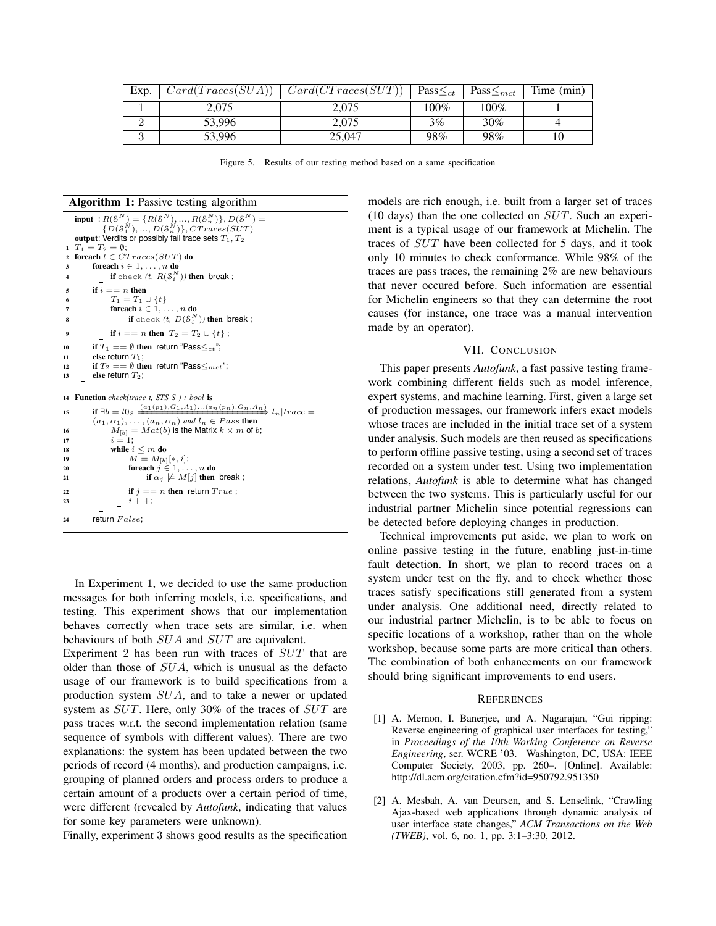| Exp. | Card(Traces(SUA)) | Card(CTrace(SUT)) | Pass $\leq_{ct}$ | Pass $\leq_{mct}$ | Time (min) |
|------|-------------------|-------------------|------------------|-------------------|------------|
|      | 2.075             | 2.075             | 100%             | 100%              |            |
|      | 53.996            | 2.075             | $3\%$            | 30%               |            |
|      | 53.996            | 25,047            | 98%              | 98%               |            |

Figure 5. Results of our testing method based on a same specification

Algorithm 1: Passive testing algorithm

```
\text{input}: R(S^N) = \{R(S^N_1), ..., R(S^N_n)\}, D(S^N) =\{D(\mathcal{S}_1^N),...,D(\mathcal{S}_n^N)\},CT races(SUT)output: Verdits or possibly fail trace sets T_1, T_21 T_1 = T_2 = \emptyset;2 foreach t \in CTraces(SUT) do<br>3 foreach i \in 1, ..., n do
3 foreach i \in 1, ..., n do<br>4 if check (t, R(S<sup>N</sup>)
  \left\{\n\quad \left[ \n\quad \right. \left[ \n\quad \right. \text{if check } (t, R(\mathcal{S}_i^N)) \text{ then break } ; \n\right.\begin{array}{c|c}\n5 & \text{if } i == n \text{ then}\n\end{array}6 <br>T<sub>1</sub> = T_1 \cup \{t\}<br>foreach i \in 1.
\begin{array}{c|c|c|c} \hline \tau & \text{for each } i \in 1, \ldots, n \text{ do} \\ \hline \text{if check } (t, D(S^N)) & \text{if } i \in I \end{array}\begin{array}{|c|c|c|}\n\hline\n\text{ } & \text{if check $(t,\,D(\mathcal{S}_i^N))$ then break}\,; \end{array}9 if i == n then T_2 = T_2 \cup \{t\};
10 if T_1 = \emptyset then return "Pass\leq_{ct}";<br>11 else return T_1;
11 else return T_1;<br>if T_2 = \emptyset the
12 if T_2 = \emptyset then return "Pass\leq_{mct}";<br>13 else return T_2:
             else return T_2;
14 Function check(trace t, STS S ) : bool is
15 if \exists b = l_0 \text{ s} \xrightarrow{(a_1(p_1), G_1, A_1) \dots (a_n(p_n), G_n, A_n)} l_n | trace =(a_1, \alpha_1), \ldots, (a_n, \alpha_n) and l_n \in Pass then
16 M_{[b]} = Mat(b) is the Matrix k \times m of b;<br>17 i = 1;
                     i = 1:
18 while i \leq m do<br>
M = M_{11}19 M = M_{[b]}[*, i];<br>
foreach i \in 1, ...20 for each j \in 1, ..., n do <br>
if \alpha_j \not\models M[j] then
                                \lfloor \quad \text{if } \alpha_j \not\models M[j] \text{ then break };\begin{array}{ccc} \text{22} & | & | & \text{if } j == n \text{ then} \text{ return } True: \end{array}23 j i + +;
24 return F alse;
```
In Experiment 1, we decided to use the same production messages for both inferring models, i.e. specifications, and testing. This experiment shows that our implementation behaves correctly when trace sets are similar, i.e. when behaviours of both *SUA* and *SUT* are equivalent.

Experiment 2 has been run with traces of *SUT* that are older than those of *SUA*, which is unusual as the defacto usage of our framework is to build specifications from a production system *SUA*, and to take a newer or updated system as *SUT*. Here, only 30% of the traces of *SUT* are pass traces w.r.t. the second implementation relation (same sequence of symbols with different values). There are two explanations: the system has been updated between the two periods of record (4 months), and production campaigns, i.e. grouping of planned orders and process orders to produce a certain amount of a products over a certain period of time, were different (revealed by *Autofunk*, indicating that values for some key parameters were unknown).

Finally, experiment 3 shows good results as the specification

models are rich enough, i.e. built from a larger set of traces (10 days) than the one collected on *SUT*. Such an experiment is a typical usage of our framework at Michelin. The traces of *SUT* have been collected for 5 days, and it took only 10 minutes to check conformance. While 98% of the traces are pass traces, the remaining 2% are new behaviours that never occured before. Such information are essential for Michelin engineers so that they can determine the root causes (for instance, one trace was a manual intervention made by an operator).

#### VII. CONCLUSION

This paper presents *Autofunk*, a fast passive testing framework combining different fields such as model inference, expert systems, and machine learning. First, given a large set of production messages, our framework infers exact models whose traces are included in the initial trace set of a system under analysis. Such models are then reused as specifications to perform offline passive testing, using a second set of traces recorded on a system under test. Using two implementation relations, *Autofunk* is able to determine what has changed between the two systems. This is particularly useful for our industrial partner Michelin since potential regressions can be detected before deploying changes in production.

Technical improvements put aside, we plan to work on online passive testing in the future, enabling just-in-time fault detection. In short, we plan to record traces on a system under test on the fly, and to check whether those traces satisfy specifications still generated from a system under analysis. One additional need, directly related to our industrial partner Michelin, is to be able to focus on specific locations of a workshop, rather than on the whole workshop, because some parts are more critical than others. The combination of both enhancements on our framework should bring significant improvements to end users.

#### **REFERENCES**

- [1] A. Memon, I. Banerjee, and A. Nagarajan, "Gui ripping: Reverse engineering of graphical user interfaces for testing," in *Proceedings of the 10th Working Conference on Reverse Engineering*, ser. WCRE '03. Washington, DC, USA: IEEE Computer Society, 2003, pp. 260–. [Online]. Available: http://dl.acm.org/citation.cfm?id=950792.951350
- [2] A. Mesbah, A. van Deursen, and S. Lenselink, "Crawling Ajax-based web applications through dynamic analysis of user interface state changes," *ACM Transactions on the Web (TWEB)*, vol. 6, no. 1, pp. 3:1–3:30, 2012.